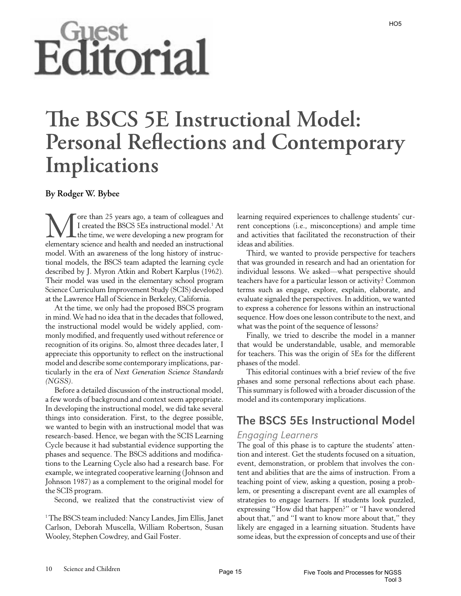# Editorial

# **!e BSCS 5E Instructional Model: Personal Reflections and Contemporary Implications**

#### **By Rodger W. Bybee**

More than 25 years ago, a team of colleagues and<br>I created the BSCS 5Es instructional model.<sup>1</sup> At<br>the time, we were developing a new program for<br>elementary science and health and needed an instructional I created the BSCS 5Es instructional model.<sup>1</sup> At the time, we were developing a new program for elementary science and health and needed an instructional model. With an awareness of the long history of instructional models, the BSCS team adapted the learning cycle described by J. Myron Atkin and Robert Karplus (1962). Their model was used in the elementary school program Science Curriculum Improvement Study (SCIS) developed at the Lawrence Hall of Science in Berkeley, California.

At the time, we only had the proposed BSCS program in mind. We had no idea that in the decades that followed, the instructional model would be widely applied, commonly modified, and frequently used without reference or recognition of its origins. So, almost three decades later, I appreciate this opportunity to reflect on the instructional model and describe some contemporary implications, particularly in the era of *Next Generation Science Standards (NGSS)*.

Before a detailed discussion of the instructional model, a few words of background and context seem appropriate. In developing the instructional model, we did take several things into consideration. First, to the degree possible, we wanted to begin with an instructional model that was research-based. Hence, we began with the SCIS Learning Cycle because it had substantial evidence supporting the phases and sequence. The BSCS additions and modifications to the Learning Cycle also had a research base. For example, we integrated cooperative learning (Johnson and Johnson 1987) as a complement to the original model for the SCIS program.

Second, we realized that the constructivist view of

1 The BSCS team included: Nancy Landes, Jim Ellis, Janet Carlson, Deborah Muscella, William Robertson, Susan Wooley, Stephen Cowdrey, and Gail Foster.

learning required experiences to challenge students' current conceptions (i.e., misconceptions) and ample time and activities that facilitated the reconstruction of their ideas and abilities.

Third, we wanted to provide perspective for teachers that was grounded in research and had an orientation for individual lessons. We asked—what perspective should teachers have for a particular lesson or activity? Common terms such as engage, explore, explain, elaborate, and evaluate signaled the perspectives. In addition, we wanted to express a coherence for lessons within an instructional sequence. How does one lesson contribute to the next, and what was the point of the sequence of lessons?

Finally, we tried to describe the model in a manner that would be understandable, usable, and memorable for teachers. This was the origin of 5Es for the different phases of the model.

This editorial continues with a brief review of the five phases and some personal reflections about each phase. This summary is followed with a broader discussion of the model and its contemporary implications.

# The BSCS 5Es Instructional Model

#### Engaging Learners

The goal of this phase is to capture the students' attention and interest. Get the students focused on a situation, event, demonstration, or problem that involves the content and abilities that are the aims of instruction. From a teaching point of view, asking a question, posing a problem, or presenting a discrepant event are all examples of strategies to engage learners. If students look puzzled, expressing "How did that happen?" or "I have wondered about that," and "I want to know more about that," they likely are engaged in a learning situation. Students have some ideas, but the expression of concepts and use of their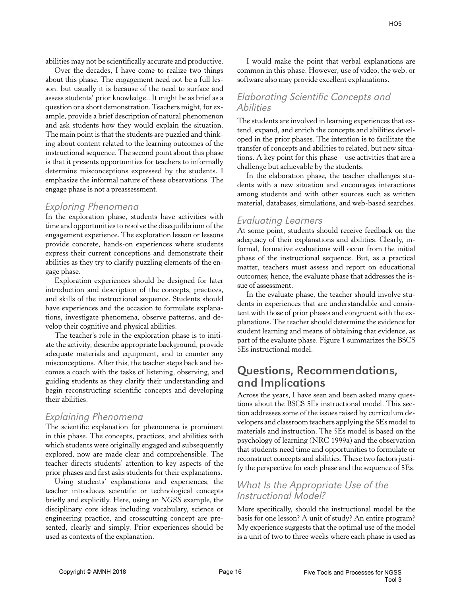abilities may not be scientifically accurate and productive.

Over the decades, I have come to realize two things about this phase. The engagement need not be a full lesson, but usually it is because of the need to surface and assess students' prior knowledge.. It might be as brief as a question or a short demonstration. Teachers might, for example, provide a brief description of natural phenomenon and ask students how they would explain the situation. The main point is that the students are puzzled and thinking about content related to the learning outcomes of the instructional sequence. The second point about this phase is that it presents opportunities for teachers to informally determine misconceptions expressed by the students. I emphasize the informal nature of these observations. The engage phase is not a preassessment.

#### Exploring Phenomena

In the exploration phase, students have activities with time and opportunities to resolve the disequilibrium of the engagement experience. The exploration lesson or lessons provide concrete, hands-on experiences where students express their current conceptions and demonstrate their abilities as they try to clarify puzzling elements of the engage phase.

Exploration experiences should be designed for later introduction and description of the concepts, practices, and skills of the instructional sequence. Students should have experiences and the occasion to formulate explanations, investigate phenomena, observe patterns, and develop their cognitive and physical abilities.

The teacher's role in the exploration phase is to initiate the activity, describe appropriate background, provide adequate materials and equipment, and to counter any misconceptions. After this, the teacher steps back and becomes a coach with the tasks of listening, observing, and guiding students as they clarify their understanding and begin reconstructing scientific concepts and developing their abilities.

#### Explaining Phenomena

The scientific explanation for phenomena is prominent in this phase. The concepts, practices, and abilities with which students were originally engaged and subsequently explored, now are made clear and comprehensible. The teacher directs students' attention to key aspects of the prior phases and first asks students for their explanations.

Using students' explanations and experiences, the teacher introduces scientific or technological concepts briefly and explicitly. Here, using an *NGSS* example, the disciplinary core ideas including vocabulary, science or engineering practice, and crosscutting concept are presented, clearly and simply. Prior experiences should be used as contexts of the explanation.

I would make the point that verbal explanations are common in this phase. However, use of video, the web, or software also may provide excellent explanations.

#### Elaborating Scientific Concepts and **Abilities**

The students are involved in learning experiences that extend, expand, and enrich the concepts and abilities developed in the prior phases. The intention is to facilitate the transfer of concepts and abilities to related, but new situations. A key point for this phase—use activities that are a challenge but achievable by the students.

In the elaboration phase, the teacher challenges students with a new situation and encourages interactions among students and with other sources such as written material, databases, simulations, and web-based searches.

#### Evaluating Learners

At some point, students should receive feedback on the adequacy of their explanations and abilities. Clearly, informal, formative evaluations will occur from the initial phase of the instructional sequence. But, as a practical matter, teachers must assess and report on educational outcomes; hence, the evaluate phase that addresses the issue of assessment.

In the evaluate phase, the teacher should involve students in experiences that are understandable and consistent with those of prior phases and congruent with the explanations. The teacher should determine the evidence for student learning and means of obtaining that evidence, as part of the evaluate phase. Figure 1 summarizes the BSCS 5Es instructional model.

# Questions, Recommendations, and Implications

Across the years, I have seen and been asked many questions about the BSCS 5Es instructional model. This section addresses some of the issues raised by curriculum developers and classroom teachers applying the 5Es model to materials and instruction. The 5Es model is based on the psychology of learning (NRC 1999a) and the observation that students need time and opportunities to formulate or reconstruct concepts and abilities. These two factors justify the perspective for each phase and the sequence of 5Es.

## What Is the Appropriate Use of the Instructional Model?

More specifically, should the instructional model be the basis for one lesson? A unit of study? An entire program? My experience suggests that the optimal use of the model is a unit of two to three weeks where each phase is used as

 $H<sub>05</sub>$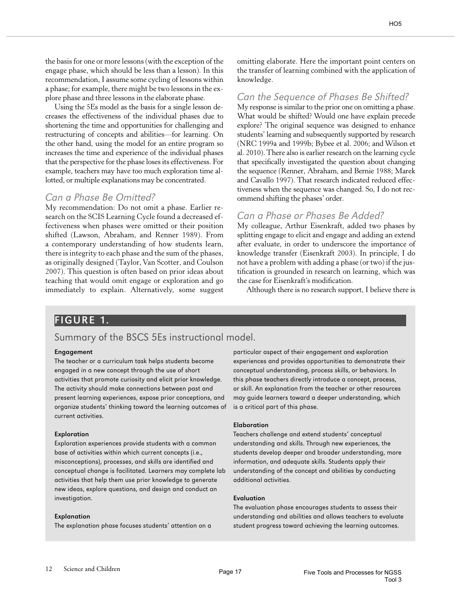the basis for one or more lessons (with the exception of the engage phase, which should be less than a lesson). In this recommendation, I assume some cycling of lessons within a phase; for example, there might be two lessons in the explore phase and three lessons in the elaborate phase.

Using the 5Es model as the basis for a single lesson decreases the effectiveness of the individual phases due to shortening the time and opportunities for challenging and restructuring of concepts and abilities—for learning. On the other hand, using the model for an entire program so increases the time and experience of the individual phases that the perspective for the phase loses its effectiveness. For example, teachers may have too much exploration time allotted, or multiple explanations may be concentrated.

#### Can a Phase Be Omitted?

My recommendation: Do not omit a phase. Earlier research on the SCIS Learning Cycle found a decreased effectiveness when phases were omitted or their position shifted (Lawson, Abraham, and Renner 1989). From a contemporary understanding of how students learn, there is integrity to each phase and the sum of the phases, as originally designed (Taylor, Van Scotter, and Coulson 2007). This question is often based on prior ideas about teaching that would omit engage or exploration and go immediately to explain. Alternatively, some suggest omitting elaborate. Here the important point centers on the transfer of learning combined with the application of knowledge.

#### Can the Sequence of Phases Be Shifted?

My response is similar to the prior one on omitting a phase. What would be shifted? Would one have explain precede explore? The original sequence was designed to enhance students' learning and subsequently supported by research (NRC 1999a and 1999b; Bybee et al. 2006; and Wilson et al. 2010). There also is earlier research on the learning cycle that specifically investigated the question about changing the sequence (Renner, Abraham, and Bernie 1988; Marek and Cavallo 1997). That research indicated reduced effectiveness when the sequence was changed. So, I do not recommend shifting the phases' order.

#### Can a Phase or Phases Be Added?

My colleague, Arthur Eisenkraft, added two phases by splitting engage to elicit and engage and adding an extend after evaluate, in order to underscore the importance of knowledge transfer (Eisenkraft 2003). In principle, I do not have a problem with adding a phase (or two) if the justification is grounded in research on learning, which was the case for Eisenkraft's modification.

Although there is no research support, I believe there is

#### FIGURE 1.

#### Summary of the BSCS 5Es instructional model.

#### Engagement

The teacher or a curriculum task helps students become engaged in a new concept through the use of short activities that promote curiosity and elicit prior knowledge. The activity should make connections between past and present learning experiences, expose prior conceptions, and organize students' thinking toward the learning outcomes of current activities.

#### Exploration

Exploration experiences provide students with a common base of activities within which current concepts (i.e., misconceptions), processes, and skills are identified and conceptual change is facilitated. Learners may complete lab activities that help them use prior knowledge to generate new ideas, explore questions, and design and conduct an investigation.

#### Explanation

The explanation phase focuses students' attention on a

particular aspect of their engagement and exploration experiences and provides opportunities to demonstrate their conceptual understanding, process skills, or behaviors. In this phase teachers directly introduce a concept, process, or skill. An explanation from the teacher or other resources may guide learners toward a deeper understanding, which is a critical part of this phase.

#### Elaboration

Teachers challenge and extend students' conceptual understanding and skills. Through new experiences, the students develop deeper and broader understanding, more information, and adequate skills. Students apply their understanding of the concept and abilities by conducting additional activities.

#### Evaluation

The evaluation phase encourages students to assess their understanding and abilities and allows teachers to evaluate student progress toward achieving the learning outcomes.